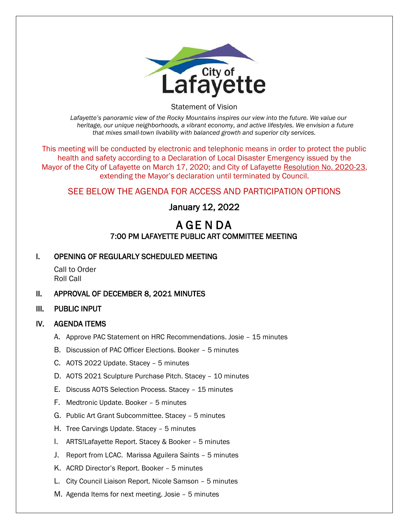

Statement of Vision

*Lafayette's panoramic view of the Rocky Mountains inspires our view into the future. We value our heritage, our unique neighborhoods, a vibrant economy, and active lifestyles. We envision a future that mixes small-town livability with balanced growth and superior city services.*

This meeting will be conducted by electronic and telephonic means in order to protect the public health and safety according to a Declaration of Local Disaster Emergency issued by the Mayor of the City of Lafayette on March 17, 2020; and City of Lafayette Resolution No. 2020-23, extending the Mayor's declaration until terminated by Council.

# SEE BELOW THE AGENDA FOR ACCESS AND PARTICIPATION OPTIONS

# January 12, 2022

# A GE N DA 7:00 PM LAFAYETTE PUBLIC ART COMMITTEE MEETING

## I. OPENING OF REGULARLY SCHEDULED MEETING

Call to Order Roll Call

## II. APPROVAL OF DECEMBER 8, 2021 MINUTES

### III. PUBLIC INPUT

### IV. AGENDA ITEMS

- A. Approve PAC Statement on HRC Recommendations. Josie 15 minutes
- B. Discussion of PAC Officer Elections. Booker 5 minutes
- C. AOTS 2022 Update. Stacey 5 minutes
- D. AOTS 2021 Sculpture Purchase Pitch. Stacey 10 minutes
- E. Discuss AOTS Selection Process. Stacey 15 minutes
- F. Medtronic Update. Booker 5 minutes
- G. Public Art Grant Subcommittee. Stacey 5 minutes
- H. Tree Carvings Update. Stacey 5 minutes
- I. ARTS!Lafayette Report. Stacey & Booker 5 minutes
- J. Report from LCAC. Marissa Aguilera Saints 5 minutes
- K. ACRD Director's Report. Booker 5 minutes
- L. City Council Liaison Report. Nicole Samson 5 minutes
- M. Agenda Items for next meeting. Josie 5 minutes